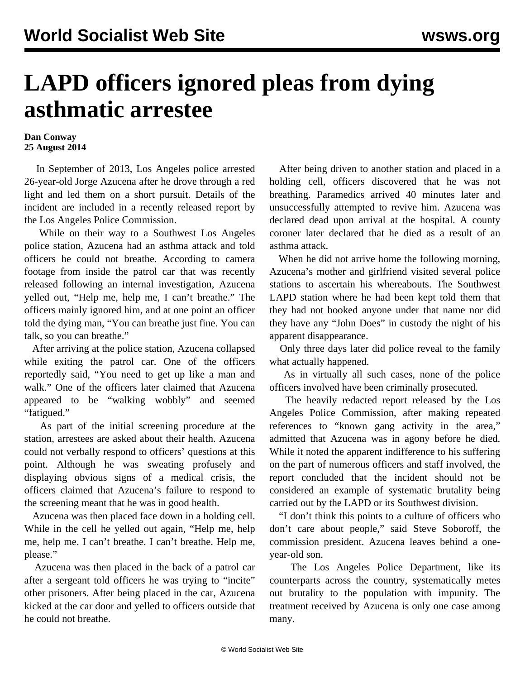## **LAPD officers ignored pleas from dying asthmatic arrestee**

## **Dan Conway 25 August 2014**

 In September of 2013, Los Angeles police arrested 26-year-old Jorge Azucena after he drove through a red light and led them on a short pursuit. Details of the incident are included in a recently released report by the Los Angeles Police Commission.

 While on their way to a Southwest Los Angeles police station, Azucena had an asthma attack and told officers he could not breathe. According to camera footage from inside the patrol car that was recently released following an internal investigation, Azucena yelled out, "Help me, help me, I can't breathe." The officers mainly ignored him, and at one point an officer told the dying man, "You can breathe just fine. You can talk, so you can breathe."

 After arriving at the police station, Azucena collapsed while exiting the patrol car. One of the officers reportedly said, "You need to get up like a man and walk." One of the officers later claimed that Azucena appeared to be "walking wobbly" and seemed "fatigued."

 As part of the initial screening procedure at the station, arrestees are asked about their health. Azucena could not verbally respond to officers' questions at this point. Although he was sweating profusely and displaying obvious signs of a medical crisis, the officers claimed that Azucena's failure to respond to the screening meant that he was in good health.

 Azucena was then placed face down in a holding cell. While in the cell he yelled out again, "Help me, help me, help me. I can't breathe. I can't breathe. Help me, please."

 Azucena was then placed in the back of a patrol car after a sergeant told officers he was trying to "incite" other prisoners. After being placed in the car, Azucena kicked at the car door and yelled to officers outside that he could not breathe.

 After being driven to another station and placed in a holding cell, officers discovered that he was not breathing. Paramedics arrived 40 minutes later and unsuccessfully attempted to revive him. Azucena was declared dead upon arrival at the hospital. A county coroner later declared that he died as a result of an asthma attack.

 When he did not arrive home the following morning, Azucena's mother and girlfriend visited several police stations to ascertain his whereabouts. The Southwest LAPD station where he had been kept told them that they had not booked anyone under that name nor did they have any "John Does" in custody the night of his apparent disappearance.

 Only three days later did police reveal to the family what actually happened.

 As in virtually all such cases, none of the police officers involved have been criminally prosecuted.

 The heavily redacted report released by the Los Angeles Police Commission, after making repeated references to "known gang activity in the area," admitted that Azucena was in agony before he died. While it noted the apparent indifference to his suffering on the part of numerous officers and staff involved, the report concluded that the incident should not be considered an example of systematic brutality being carried out by the LAPD or its Southwest division.

 "I don't think this points to a culture of officers who don't care about people," said Steve Soboroff, the commission president. Azucena leaves behind a oneyear-old son.

 The Los Angeles Police Department, like its counterparts across the country, systematically metes out brutality to the population with impunity. The treatment received by Azucena is only one case among many.